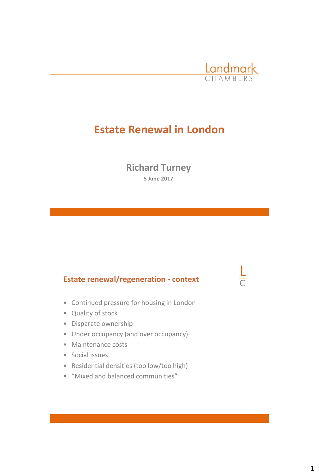

# **Estate Renewal in London**

**Richard Turney 5 June 2017**

#### **Estate renewal/regeneration - context**

- Continued pressure for housing in London
- Quality of stock
- Disparate ownership
- Under occupancy (and over occupancy)
- Maintenance costs
- Social issues
- Residential densities (too low/too high)
- "Mixed and balanced communities"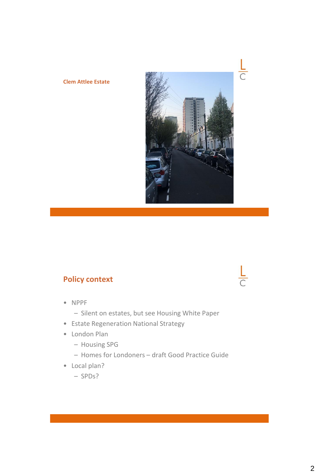#### **Clem Attlee Estate**



## **Policy context**

- NPPF
	- Silent on estates, but see Housing White Paper
- Estate Regeneration National Strategy
- London Plan
	- Housing SPG
	- Homes for Londoners draft Good Practice Guide
- Local plan?
	- SPDs?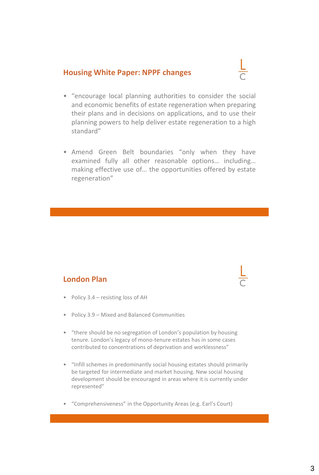#### **Housing White Paper: NPPF changes**

- 
- "encourage local planning authorities to consider the social and economic benefits of estate regeneration when preparing their plans and in decisions on applications, and to use their planning powers to help deliver estate regeneration to a high standard"
- Amend Green Belt boundaries "only when they have examined fully all other reasonable options… including… making effective use of… the opportunities offered by estate regeneration"

#### **London Plan**

- Policy 3.4 resisting loss of AH
- Policy 3.9 Mixed and Balanced Communities
- "there should be no segregation of London's population by housing tenure. London's legacy of mono-tenure estates has in some cases contributed to concentrations of deprivation and worklessness"
- "Infill schemes in predominantly social housing estates should primarily be targeted for intermediate and market housing. New social housing development should be encouraged in areas where it is currently under represented"
- "Comprehensiveness" in the Opportunity Areas (e.g. Earl's Court)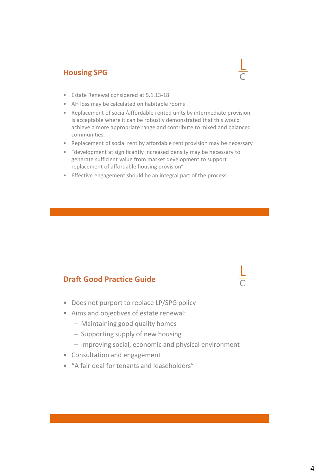### **Housing SPG**



- Estate Renewal considered at 5.1.13-18
- AH loss may be calculated on habitable rooms
- Replacement of social/affordable rented units by intermediate provision is acceptable where it can be robustly demonstrated that this would achieve a more appropriate range and contribute to mixed and balanced communities.
- Replacement of social rent by affordable rent provision may be necessary
- "development at significantly increased density may be necessary to generate sufficient value from market development to support replacement of affordable housing provision"
- Effective engagement should be an integral part of the process

#### **Draft Good Practice Guide**

- Does not purport to replace LP/SPG policy
- Aims and objectives of estate renewal:
	- Maintaining good quality homes
	- Supporting supply of new housing
	- Improving social, economic and physical environment
- Consultation and engagement
- "A fair deal for tenants and leaseholders"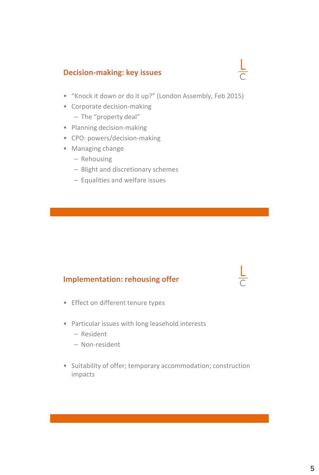### **Decision-making: key issues**

- "Knock it down or do it up?" (London Assembly, Feb 2015)
- Corporate decision-making
	- The "property deal"
- Planning decision-making
- CPO: powers/decision-making
- Managing change
	- Rehousing
	- Blight and discretionary schemes
	- Equalities and welfare issues

### **Implementation: rehousing offer**

- Effect on different tenure types
- Particular issues with long leasehold interests
	- Resident
	- Non-resident
- Suitability of offer; temporary accommodation; construction impacts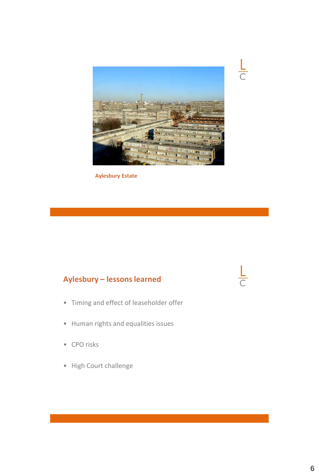

 $\frac{L}{C}$ 

 $\frac{1}{\sqrt{2}}$ 

**Aylesbury Estate**

## **Aylesbury – lessons learned**

- Timing and effect of leaseholder offer
- Human rights and equalities issues
- CPO risks
- High Court challenge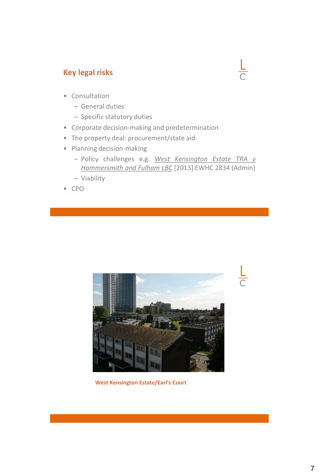### **Key legal risks**



- Consultation
	- General duties
	- Specific statutory duties
- Corporate decision-making and predetermination
- The property deal: procurement/state aid
- Planning decision-making
	- Policy challenges e.g. *West Kensington Estate TRA v Hammersmith and Fulham LBC* [2013] EWHC 2834 (Admin)
	- Viability
- CPO



**West Kensington Estate/Earl's Court**